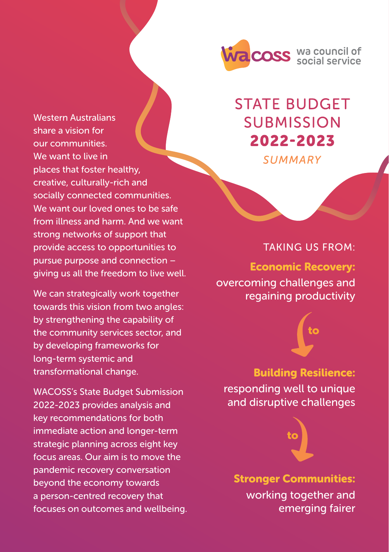

# **STATE BUDGET SUBMISSION** 2022-2023

**SUMMARY** 

#### share a vision for our communities. We want to live in places that foster healthy, creative, culturally-rich and socially connected communities. We want our loved ones to be safe from illness and harm. And we want strong networks of support that provide access to opportunities to pursue purpose and connection – giving us all the freedom to live well.

Western Australians

We can strategically work together towards this vision from two angles: by strengthening the capability of the community services sector, and by developing frameworks for long-term systemic and transformational change.

WACOSS's State Budget Submission 2022-2023 provides analysis and key recommendations for both immediate action and longer-term strategic planning across eight key focus areas. Our aim is to move the pandemic recovery conversation beyond the economy towards a person-centred recovery that focuses on outcomes and wellbeing.

#### TAKING US FROM:

Economic Recovery: overcoming challenges and regaining productivity

## Building Resilience:

to

responding well to unique and disruptive challenges

to

## Stronger Communities: working together and emerging fairer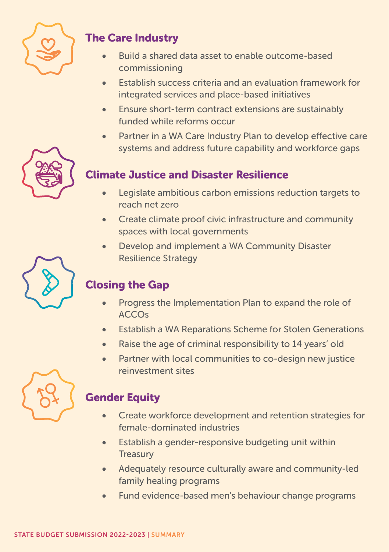

### The Care Industry

- Build a shared data asset to enable outcome-based commissioning
- Establish success criteria and an evaluation framework for integrated services and place-based initiatives
- Ensure short-term contract extensions are sustainably funded while reforms occur
- Partner in a WA Care Industry Plan to develop effective care systems and address future capability and workforce gaps

### Climate Justice and Disaster Resilience

- Legislate ambitious carbon emissions reduction targets to reach net zero
- Create climate proof civic infrastructure and community spaces with local governments
- Develop and implement a WA Community Disaster Resilience Strategy

# Closing the Gap

- Progress the Implementation Plan to expand the role of ACCOs
- Establish a WA Reparations Scheme for Stolen Generations
- Raise the age of criminal responsibility to 14 years' old
- Partner with local communities to co-design new justice reinvestment sites

# Gender Equity

- Create workforce development and retention strategies for female-dominated industries
- Establish a gender-responsive budgeting unit within **Treasury**
- Adequately resource culturally aware and community-led family healing programs
- Fund evidence-based men's behaviour change programs



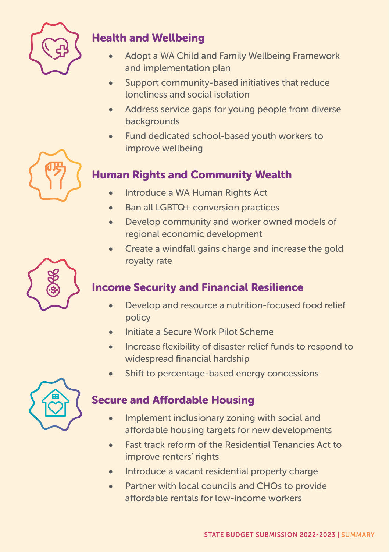

#### Health and Wellbeing

- Adopt a WA Child and Family Wellbeing Framework and implementation plan
- Support community-based initiatives that reduce loneliness and social isolation
- Address service gaps for young people from diverse backgrounds
- • Fund dedicated school-based youth workers to improve wellbeing

## Human Rights and Community Wealth

- Introduce a WA Human Rights Act
- Ban all LGBTQ+ conversion practices
- Develop community and worker owned models of regional economic development
- Create a windfall gains charge and increase the gold royalty rate

# Income Security and Financial Resilience

- Develop and resource a nutrition-focused food relief policy
- • Initiate a Secure Work Pilot Scheme
- Increase flexibility of disaster relief funds to respond to widespread financial hardship
- Shift to percentage-based energy concessions



## Secure and Affordable Housing

- Implement inclusionary zoning with social and affordable housing targets for new developments
- • Fast track reform of the Residential Tenancies Act to improve renters' rights
- Introduce a vacant residential property charge
- Partner with local councils and CHOs to provide affordable rentals for low-income workers